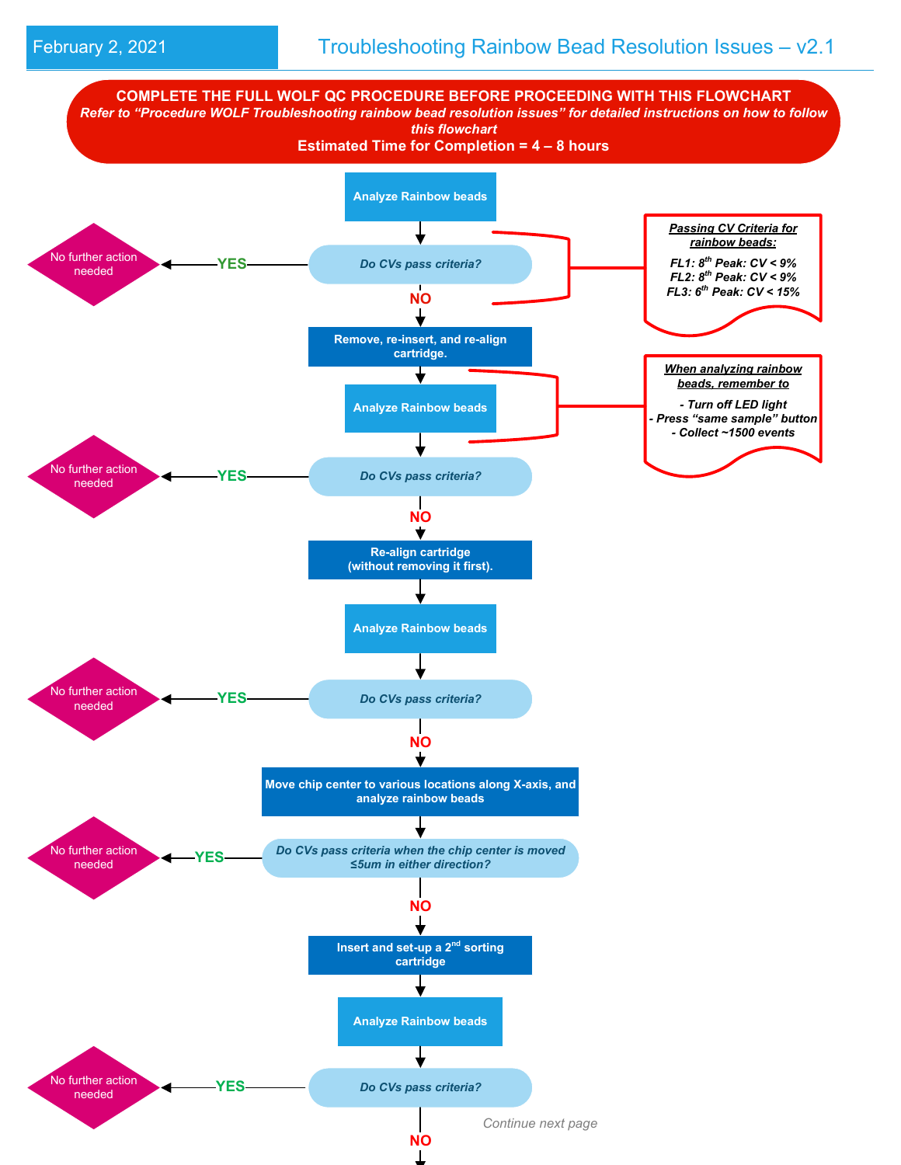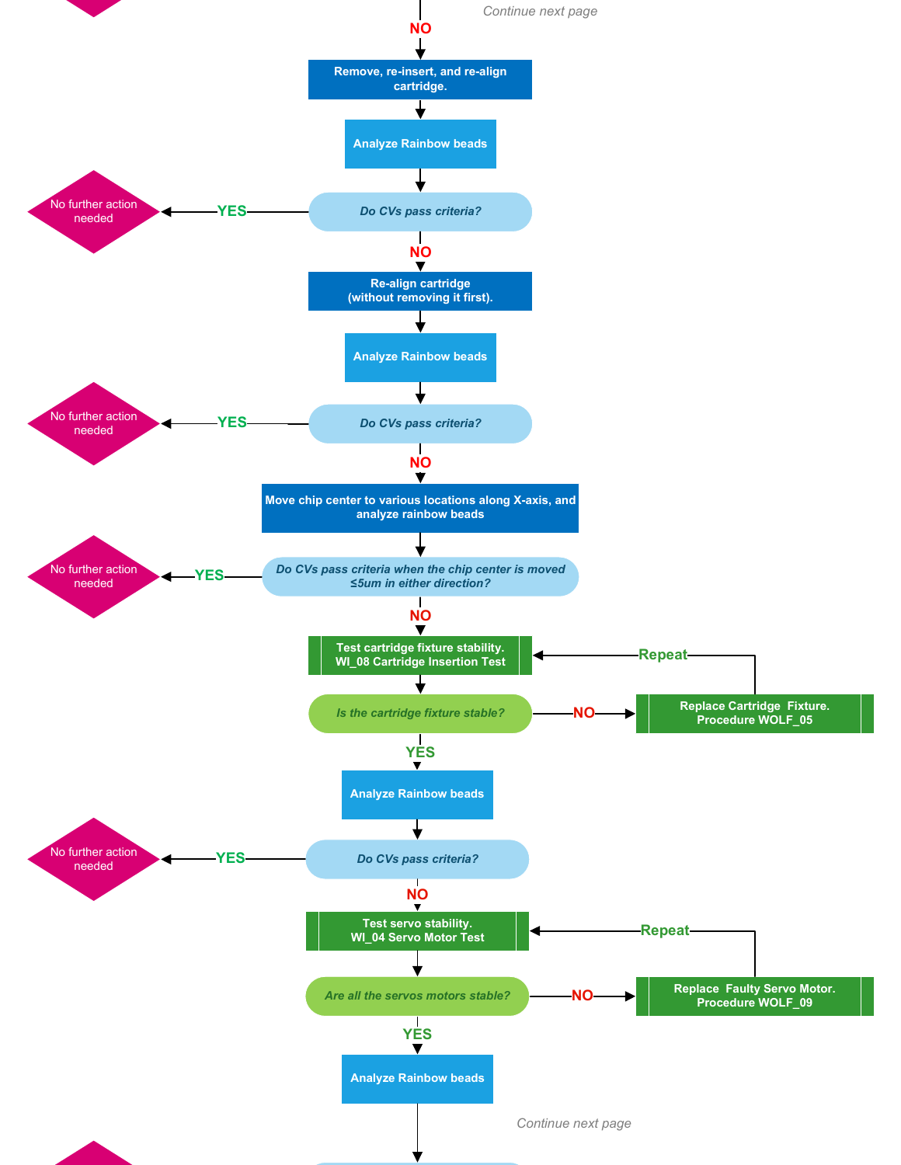